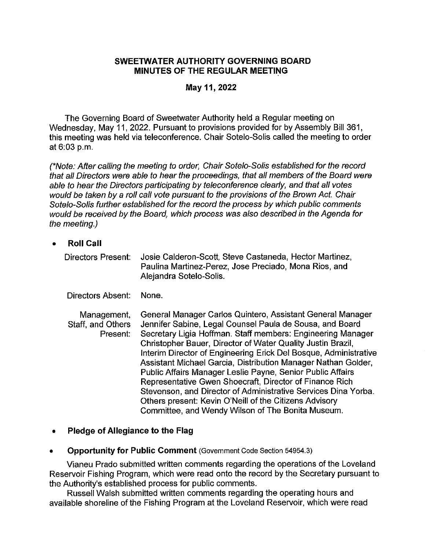#### **SWEETWATER AUTHORITY GOVERNING BOARD MINUTES OF THE REGULAR MEETING**

## **May 11, 2022**

The Governing Board of Sweetwater Authority held a Regular meeting on Wednesday, May 11, 2022. Pursuant to provisions provided for by Assembly Bill 361, this meeting was held via teleconference. Chair Sotelo-Solis called the meeting to order at 6:03 p.m.

(\*Note: After calling the meeting to order, Chair Sotelo-Solis established for the record that all Directors were able to hear the proceedings, that all members of the Board were able to hear the Directors participating by teleconference clearly, and that all votes would be taken by a roll call vote pursuant to the provisions of the Brown Act. Chair Sotelo-Solis further established for the record the process by which public comments would be received by the Board, which process was also described in the Agenda for the meeting.)

• **Roll Call** 

Directors Present: Josie Calderon-Scott, Steve Castaneda, Hector Martinez, Paulina Martinez-Perez, Jose Preciado, Mona Rios, and Alejandra Sotelo-Solis.

Directors Absent: None.

Management, Staff, and Others Present: General Manager Carlos Quintero, Assistant General Manager Jennifer Sabine, Legal Counsel Paula de Sousa, and Board Secretary Ligia Hoffman. Staff members: Engineering Manager Christopher Bauer, Director of Water Quality Justin Brazil, Interim Director of Engineering Erick Del Bosque, Administrative Assistant Michael Garcia, Distribution Manager Nathan Golder, Public Affairs Manager Leslie Payne, Senior Public Affairs Representative Gwen Shoecraft, Director of Finance Rich Stevenson, and Director of Administrative Services Dina Yorba. Others present: Kevin O'Neill of the Citizens Advisory Committee, and Wendy Wilson of The Bonita Museum.

- **Pledge of Allegiance to the Flag**
- **Opportunity for Public Comment** (Government Code Section 54954.3)

Vianeu Prado submitted written comments regarding the operations of the Loveland Reservoir Fishing Program, which were read onto the record by the Secretary pursuant to the Authority's established process for public comments.

Russell Walsh submitted written comments regarding the operating hours and available shoreline of the Fishing Program at the Loveland Reservoir, which were read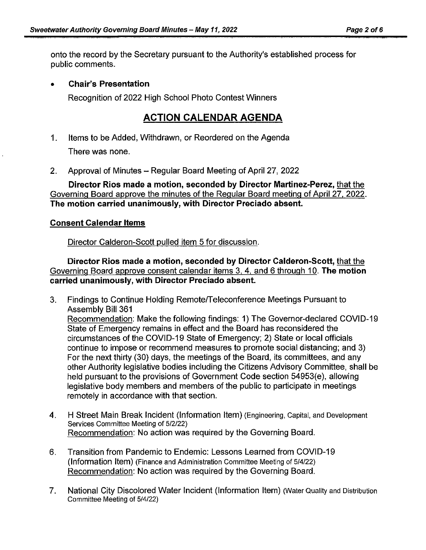onto the record by the Secretary pursuant to the Authority's established process for public comments.

## • **Chair's Presentation**

Recognition of 2022 High School Photo Contest Winners

# **ACTION CALENDAR AGENDA**

- 1. Items to be Added, Withdrawn, or Reordered on the Agenda There was none.
- 2. Approval of Minutes Regular Board Meeting of April 27, 2022

**Director Rios made a motion, seconded by Director Martinez-Perez,** that the Governing Board approve the minutes of the Regular Board meeting of April 27, 2022. **The motion carried unanimously, with Director Preciado absent.** 

## **Consent Calendar Items**

Director Calderon-Scott pulled item 5 for discussion.

**Director Rios made a motion, seconded by Director Calderon-Scott,** that the Governing Board approve consent calendar items 3, 4, and 6 through 10. **The motion carried unanimously, with Director Preciado absent.** 

- 3. Findings to Continue Holding Remote/Teleconference Meetings Pursuant to Assembly Bill 361 Recommendation: Make the following findings: 1) The Governor-declared COVID-19 State of Emergency remains in effect and the Board has reconsidered the circumstances of the COVID-19 State of Emergency; 2) State or local officials continue to impose or recommend measures to promote social distancing; and 3) For the next thirty (30) days, the meetings of the Board, its committees, and any other Authority legislative bodies including the Citizens Advisory Committee, shall be held pursuant to the provisions of Government Code section 54953(e), allowing legislative body members and members of the public to participate in meetings remotely in accordance with that section.
- 4. H Street Main Break Incident (Information Item) (Engineering, Capital, and Development Services Committee Meeting of 5/2/22) Recommendation: No action was required by the Governing Board.
- 6. Transition from Pandemic to Endemic: Lessons Learned from COVID-19 (Information Item) (Finance and Administration Committee Meeting of 5/4/22) Recommendation: No action was required by the Governing Board.
- 7. National City Discolored Water Incident (Information Item) (Water Quality and Distribution Committee Meeting of 5/4/22)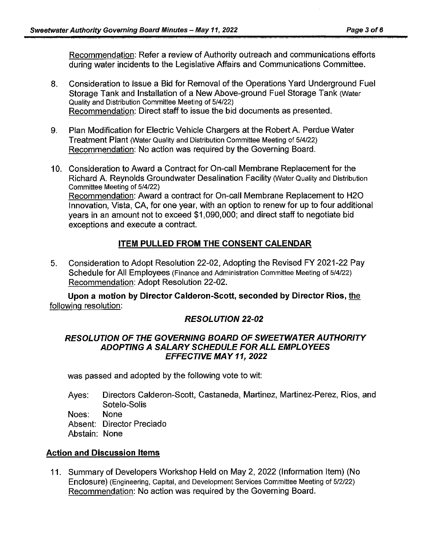Recommendation: Refer a review of Authority outreach and communications efforts during water incidents to the Legislative Affairs and Communications Committee.

- 8. Consideration to Issue a Bid for Removal of the Operations Yard Underground Fuel Storage Tank and Installation of a New Above-ground Fuel Storage Tank (Water Quality and Distribution Committee Meeting of 5/4122) Recommendation: Direct staff to issue the bid documents as presented.
- 9. Plan Modification for Electric Vehicle Chargers at the Robert A. Perdue Water Treatment Plant (Water Quality and Distribution Committee Meeting of 514/22) Recommendation: No action was required by the Governing Board.
- 10. Consideration to Award a Contract for On-call Membrane Replacement for the Richard A. Reynolds Groundwater Desalination Facility (Water Quality and Distribution Committee Meeting of 5/4122) Recommendation: Award a contract for On-call Membrane Replacement to H2O Innovation, Vista, CA, for one year, with an option to renew for up to four additional years in an amount not to exceed \$1,090,000; and direct staff to negotiate bid exceptions and execute a contract.

# **ITEM PULLED FROM THE CONSENT CALENDAR**

5. Consideration to Adopt Resolution 22-02, Adopting the Revised FY 2021-22 Pay Schedule for All Employees (Finance and Administration Committee Meeting of 5/4/22) Recommendation: Adopt Resolution 22-02.

**Upon a motion by Director Calderon-Scott, seconded by Director Rios,** the following resolution:

# **RESOLUTION 22-02**

#### **RESOLUTION OF THE GOVERNING BOARD OF SWEETWATER AUTHORITY ADOPTING A SALARY SCHEDULE FOR ALL EMPLOYEES EFFECTIVE MAY 11, 2022**

was passed and adopted by the following vote to wit:

Ayes: Noes: Absent: Director Preciado Abstain: None Directors Calderon-Scott, Castaneda, Martinez, Martinez-Perez, Rios, and Sotelo-Solis None

### **Action and Discussion Items**

11. Summary of Developers Workshop Held on May 2, 2022 (Information Item) (No Enclosure) (Engineering, Capital, and Development Services Committee Meeting of 5/2/22) Recommendation: No action was required by the Governing Board.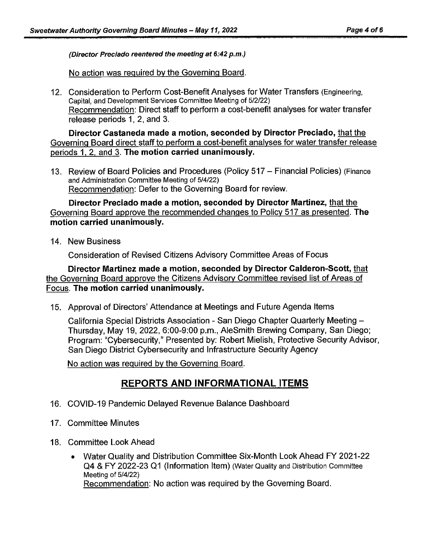(Director Preciado reentered the meeting at 6:42 p.m.)

No action was required by the Governing Board.

12. Consideration to Perform Cost-Benefit Analyses for Water Transfers (Engineering, Capital, and Development Services Committee Meeting of 5/2/22) Recommendation: Direct staff to perform a cost-benefit analyses for water transfer release periods 1, 2, and 3.

**Director Castaneda made a motion, seconded by Director Preciado,** that the Governing Board direct staff to perform a cost-benefit analyses for water transfer release periods 1. 2. and 3. **The motion carried unanimously.** 

13. Review of Board Policies and Procedures (Policy 517 - Financial Policies) (Finance and Administration Committee Meeting of 5/4/22) Recommendation: Defer to the Governing Board for review.

**Director Preciado made a motion, seconded by Director Martinez,** that the Governing Board approve the recommended changes to Policy 517 as presented. **The motion carried unanimously.** 

14. New Business

Consideration of Revised Citizens Advisory Committee Areas of Focus

**Director Martinez made a motion, seconded by Director Calderon-Scott,** that the Governing Board approve the Citizens Advisory Committee revised list of Areas of Focus. **The motion carried unanimously.** 

15. Approval of Directors' Attendance at Meetings and Future Agenda Items

California Special Districts Association - San Diego Chapter Quarterly Meeting - Thursday, May 19, 2022, 6:00-9:00 p.m., AleSmith Brewing Company, San Diego; Program: "Cybersecurity," Presented by: Robert Mielish, Protective Security Advisor, San Diego District Cybersecurity and Infrastructure Security Agency

No action was required by the Governing Board.

# **REPORTS AND INFORMATIONAL ITEMS**

- 16. COVID-19 Pandemic Delayed Revenue Balance Dashboard
- 17. Committee Minutes
- 18. Committee Look Ahead
	- Water Quality and Distribution Committee Six-Month Look Ahead FY 2021-22 Q4 & FY 2022-23 Q1 (Information Item) (Water Quality and Distribution Committee Meeting of 5/4/22) Recommendation: No action was required by the Governing Board.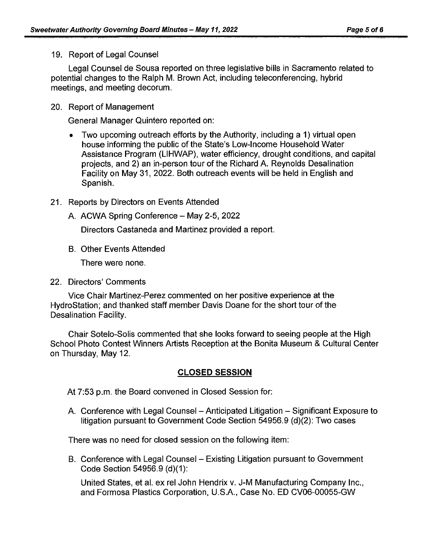19. Report of Legal Counsel

Legal Counsel de Sousa reported on three legislative bills in Sacramento related to potential changes to the Ralph M. Brown Act, including teleconferencing, hybrid meetings, and meeting decorum.

## 20. Report of Management

General Manager Quintero reported on:

• Two upcoming outreach efforts by the Authority, including a 1) virtual open house informing the public of the State's Low-Income Household Water Assistance Program (LIHWAP), water efficiency, drought conditions, and capital projects, and 2) an in-person tour of the Richard A. Reynolds Desalination Facility on May 31, 2022. Both outreach events will be held in English and Spanish.

## 21. Reports by Directors on Events Attended

A. ACWA Spring Conference - May 2-5, 2022

Directors Castaneda and Martinez provided a report.

B. Other Events Attended

There were none.

22. Directors' Comments

Vice Chair Martinez-Perez commented on her positive experience at the HydroStation; and thanked staff member Davis Doane for the short tour of the Desalination Facility.

Chair Sotelo-Solis commented that she looks forward to seeing people at the High School Photo Contest Winners Artists Reception at the Bonita Museum & Cultural Center on Thursday, May 12.

# **CLOSED SESSION**

At 7:53 p.m. the Board convened in Closed Session for:

A. Conference with Legal Counsel – Anticipated Litigation – Significant Exposure to litigation pursuant to Government Code Section 54956.9 (d)(2): Two cases

There was no need for closed session on the following item:

B. Conference with Legal Counsel – Existing Litigation pursuant to Government Code Section 54956.9 (d)(1):

United States, et al. ex rel John Hendrix v. J-M Manufacturing Company Inc., and Formosa Plastics Corporation, U.S.A., Case No. ED CV06-00055-GW